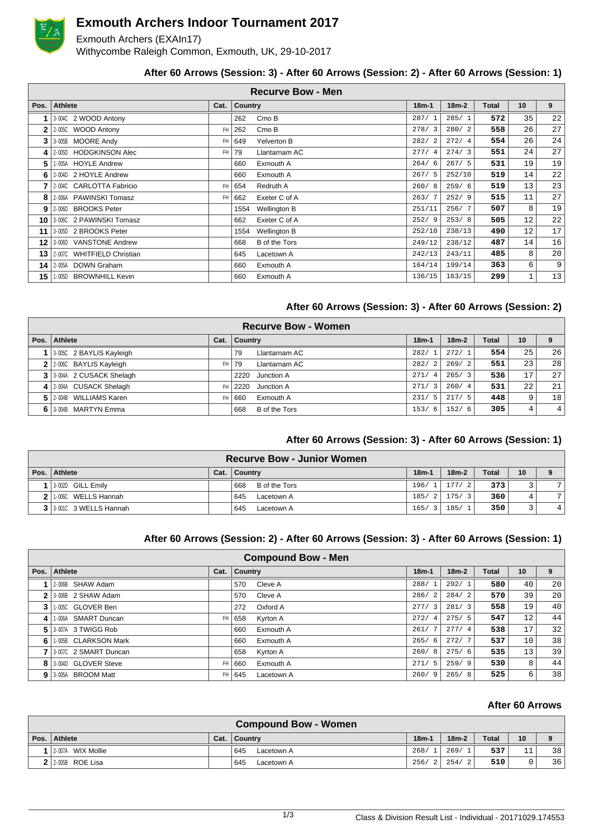

# **Exmouth Archers Indoor Tournament 2017**

Exmouth Archers (EXAIn17) Withycombe Raleigh Common, Exmouth, UK, 29-10-2017

## **After 60 Arrows (Session: 3) - After 60 Arrows (Session: 2) - After 60 Arrows (Session: 1)**

| <b>Recurve Bow - Men</b> |                               |           |         |               |         |         |              |    |                 |  |  |  |
|--------------------------|-------------------------------|-----------|---------|---------------|---------|---------|--------------|----|-----------------|--|--|--|
| Pos.                     | <b>Athlete</b>                | Cat.      | Country |               | $18m-1$ | $18m-2$ | <b>Total</b> | 10 | 9               |  |  |  |
|                          | 3-004C 2 WOOD Antony          |           | 262     | Cmo B         | 287/1   | 285/1   | 572          | 35 | 22              |  |  |  |
| 2                        | 2-005C WOOD Antony            | FH        | 262     | Cmo B         | 278/3   | 280/2   | 558          | 26 | 27              |  |  |  |
| 3                        | 3-005B MOORE Andy             | FH.       | 649     | Yelverton B   | 282/2   | 272/4   | 554          | 26 | 24              |  |  |  |
| Δ                        | 2-005D HODGKINSON Alec        | FH        | 79      | Llantarnam AC | 277/4   | 274/3   | 551          | 24 | 27              |  |  |  |
| 5                        | 1-005A HOYLE Andrew           |           | 660     | Exmouth A     | 264/6   | 267/5   | 531          | 19 | 19              |  |  |  |
| 6                        | 2-004D 2 HOYLE Andrew         |           | 660     | Exmouth A     | 267/5   | 252/10  | 519          | 14 | 22              |  |  |  |
|                          | 2-004C CARLOTTA Fabricio      | <b>FH</b> | 654     | Redruth A     | 260/8   | 259/6   | 519          | 13 | 23              |  |  |  |
| 8                        | 2-006A PAWINSKI Tomasz        | FH        | 662     | Exeter C of A | 263/7   | 252/9   | 515          | 11 | 27              |  |  |  |
| 9                        | 2-006D BROOKS Peter           |           | 1554    | Wellington B  | 251/11  | 256/7   | 507          | 8  | 19              |  |  |  |
|                          | 10   3:006C 2 PAWINSKI Tomasz |           | 662     | Exeter C of A | 252/9   | 253/8   | 505          | 12 | 22              |  |  |  |
| 11                       | 3-005D 2 BROOKS Peter         |           | 1554    | Wellington B  | 252/10  | 238/13  | 490          | 12 | 17              |  |  |  |
| 12                       | 3-006D VANSTONE Andrew        |           | 668     | B of the Tors | 249/12  | 238/12  | 487          | 14 | 16              |  |  |  |
| 13                       | 2-007C WHITFIELD Christian    |           | 645     | Lacetown A    | 242/13  | 243/11  | 485          | 8  | 20 <sup>1</sup> |  |  |  |
|                          | 14   2-005A DOWN Graham       |           | 660     | Exmouth A     | 164/14  | 199/14  | 363          | 6  | 9 <sup>°</sup>  |  |  |  |
| 15                       | 1-005D BROWNHILL Kevin        |           | 660     | Exmouth A     | 136/15  | 163/15  | 299          | 1  | 13              |  |  |  |

#### **After 60 Arrows (Session: 3) - After 60 Arrows (Session: 2)**

|              |                           |           | <b>Recurve Bow - Women</b>  |         |         |              |                 |                |
|--------------|---------------------------|-----------|-----------------------------|---------|---------|--------------|-----------------|----------------|
| Pos. $\vert$ | Athlete                   | Cat.      | <b>Country</b>              | $18m-1$ | $18m-2$ | <b>Total</b> | 10              | 9              |
|              | 3-005C 2 BAYLIS Kayleigh  |           | Llantarnam AC<br>79         | 282/1   | 272/1   | 554          | 25              | 26             |
|              | 2 2:0060 BAYLIS Kayleigh  | FH        | Llantarnam AC<br>79         | 282/2   | 269/2   | 551          | 23              | 28             |
|              | 3 3 3044 2 CUSACK Shelagh |           | 2220<br>Junction A          | 271/4   | 265/3   | 536          | 17              | 27             |
|              | 4 2.004A CUSACK Shelagh   | <b>FH</b> | Junction A<br>2220          | 271/3   | 260/4   | 531          | 22 <sub>1</sub> | 21             |
|              | 5 2004B WILLIAMS Karen    | FH        | Exmouth A<br>660            | 231/5   | 217/5   | 448          | 9               | 18             |
|              | 6 3-004B MARTYN Emma      |           | <b>B</b> of the Tors<br>668 | 153/6   | 152/6   | 305          | 4               | 4 <sup>1</sup> |

#### **After 60 Arrows (Session: 3) - After 60 Arrows (Session: 1)**

| <b>Recurve Bow - Junior Women</b> |      |                      |         |             |              |    |   |  |  |  |  |
|-----------------------------------|------|----------------------|---------|-------------|--------------|----|---|--|--|--|--|
| Pos.   Athlete                    | Cat. | <b>Country</b>       | $18m -$ | $18m-2$     | <b>Total</b> | 10 | 9 |  |  |  |  |
| 3-002D GILL Emily                 |      | B of the Tors<br>668 | 196/1   | 177/<br>- 2 | 373          |    |   |  |  |  |  |
| 1.006C WELLS Hannah               |      | 645<br>Lacetown A    | 185/2   | 175/<br>- 3 | 360          |    | 7 |  |  |  |  |
| $3$   3.001C 3 WELLS Hannah       |      | 645<br>Lacetown A    | 165/3   | 185/        | 350          |    | 4 |  |  |  |  |

#### **After 60 Arrows (Session: 2) - After 60 Arrows (Session: 3) - After 60 Arrows (Session: 1)**

| <b>Compound Bow - Men</b> |                       |      |                   |                        |           |       |                   |    |  |  |  |  |
|---------------------------|-----------------------|------|-------------------|------------------------|-----------|-------|-------------------|----|--|--|--|--|
| Pos.                      | Athlete               | Cat. | Country           | $18m-1$                | $18m - 2$ | Total | 10                | 9  |  |  |  |  |
|                           | 2-006B SHAW Adam      |      | Cleve A<br>570    | 288/<br>$\overline{1}$ | 292/1     | 580   | 40                | 20 |  |  |  |  |
| $\mathbf{2}$              | 3-006B 2 SHAW Adam    |      | Cleve A<br>570    | 286/<br>2              | 284/2     | 570   | 39                | 20 |  |  |  |  |
| 3                         | 1-005C GLOVER Ben     |      | Oxford A<br>272   | 277/<br>$\overline{3}$ | 281/3     | 558   | 19                | 40 |  |  |  |  |
| 4                         | 1-006A SMART Duncan   | FH.  | Kyrton A<br>658   | 272/<br>$\overline{4}$ | 275/5     | 547   | $12 \overline{ }$ | 44 |  |  |  |  |
| 51                        | 3-007A 3 TWIGG Rob    |      | Exmouth A<br>660  | 261/                   | 277/4     | 538   | 17                | 32 |  |  |  |  |
| 6                         | 1-005B CLARKSON Mark  |      | Exmouth A<br>660  | 265/6                  | 272/7     | 537   | 10                | 38 |  |  |  |  |
|                           | 3-007C 2 SMART Duncan |      | Kyrton A<br>658   | 260/<br>-8             | 275/6     | 535   | 13                | 39 |  |  |  |  |
|                           | 8 3040 GLOVER Steve   | FH   | Exmouth A<br>660  | 271/<br>- 5            | 259/9     | 530   | 8                 | 44 |  |  |  |  |
|                           | 9 3-005A BROOM Matt   | FH   | 645<br>Lacetown A | 260/<br>- 9            | 265/8     | 525   | 6                 | 38 |  |  |  |  |

## **After 60 Arrows**

|                            | <b>Compound Bow - Women</b> |         |         |              |    |    |
|----------------------------|-----------------------------|---------|---------|--------------|----|----|
| Pos. Athlete               | Cat.   Country              | $18m -$ | $18m-2$ | <b>Total</b> | 10 |    |
| $1 \mid 2.007A$ WIX Mollie | 645<br>Lacetown A           | 268/1   | 269/    | 537          | 11 | 38 |
| $2$   2-005B ROE Lisa      | 645<br>Lacetown A           | 256/2   | 254/2   | 510          | 0  | 36 |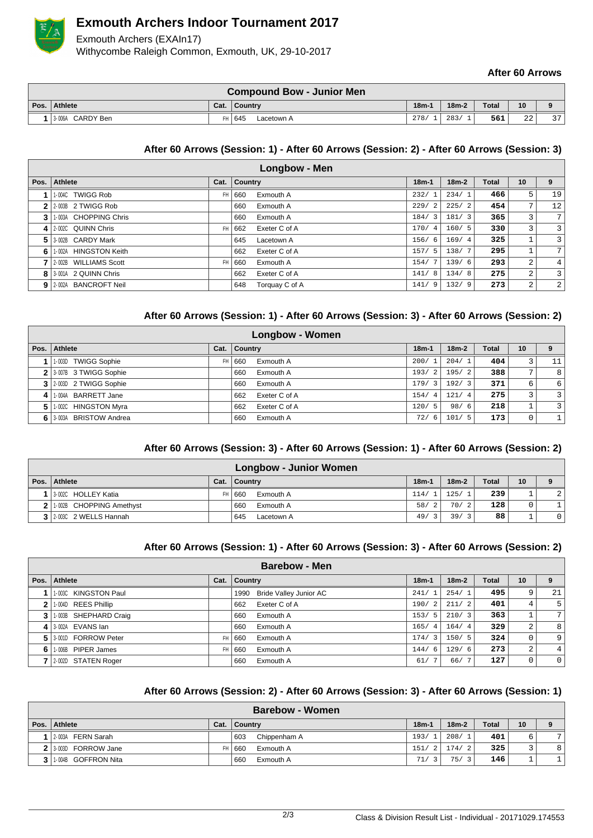

# **Exmouth Archers Indoor Tournament 2017**

Exmouth Archers (EXAIn17) Withycombe Raleigh Common, Exmouth, UK, 29-10-2017

### **After 60 Arrows**

| <b>Compound Bow - Junior Men</b> |      |                      |         |         |              |              |          |  |  |  |  |
|----------------------------------|------|----------------------|---------|---------|--------------|--------------|----------|--|--|--|--|
| Pos.   Athlete                   | Cat. | <b>Country</b>       | $18m-1$ | $18m-2$ | <b>Total</b> | 10           |          |  |  |  |  |
| 13-006A CARDY Ben                |      | FH 645<br>Lacetown A | 278/    | 283/    | 561          | $\sim$<br>22 | $\Omega$ |  |  |  |  |

#### **After 60 Arrows (Session: 1) - After 60 Arrows (Session: 2) - After 60 Arrows (Session: 3)**

|      | Longbow - Men            |           |         |                |            |         |              |                 |                |  |  |  |  |
|------|--------------------------|-----------|---------|----------------|------------|---------|--------------|-----------------|----------------|--|--|--|--|
| Pos. | <b>Athlete</b>           | Cat.      | Country |                | $18m-1$    | $18m-2$ | <b>Total</b> | 10 <sup>1</sup> | 9              |  |  |  |  |
|      | 1-004C TWIGG Rob         | <b>FH</b> | 660     | Exmouth A      | 232/1      | 234/1   | 466          | 5               | 19             |  |  |  |  |
|      | $2$   2-003B 2 TWIGG Rob |           | 660     | Exmouth A      | 229/2      | 225/2   | 454          | 7 <sub>1</sub>  | 12             |  |  |  |  |
| 3    | 1-003A CHOPPING Chris    |           | 660     | Exmouth A      | 184/3      | 181/3   | 365          | 3               | 7 <sup>1</sup> |  |  |  |  |
|      | 4 2.002C QUINN Chris     | <b>FH</b> | 662     | Exeter C of A  | 170/4      | 160/5   | 330          | 3               | $\overline{3}$ |  |  |  |  |
|      | 5 3-002B CARDY Mark      |           | 645     | Lacetown A     | 156/6      | 169/4   | 325          |                 | $\overline{3}$ |  |  |  |  |
| 6    | 1-002A HINGSTON Keith    |           | 662     | Exeter C of A  | 157/5      | 138/7   | 295          | 1.              | 7 <sup>1</sup> |  |  |  |  |
|      | 2-002B WILLIAMS Scott    | <b>FH</b> | 660     | Exmouth A      | 154/<br>-7 | 139/6   | 293          | $\overline{a}$  | 4 <sup>1</sup> |  |  |  |  |
|      | 8 3-001A 2 QUINN Chris   |           | 662     | Exeter C of A  | 141/<br>-8 | 134/8   | 275          | $\overline{2}$  | $\overline{3}$ |  |  |  |  |
|      | 9 2-002A BANCROFT Neil   |           | 648     | Torquay C of A | 141/9      | 132/9   | 273          | $\overline{a}$  | $\overline{2}$ |  |  |  |  |

### **After 60 Arrows (Session: 1) - After 60 Arrows (Session: 3) - After 60 Arrows (Session: 2)**

| <b>Longbow - Women</b> |                           |           |                      |         |         |              |                         |                  |  |  |  |
|------------------------|---------------------------|-----------|----------------------|---------|---------|--------------|-------------------------|------------------|--|--|--|
| Pos.                   | <b>Athlete</b>            | Cat.      | <b>Country</b>       | $18m-1$ | $18m-2$ | <b>Total</b> | 10                      | 9                |  |  |  |
|                        | 1-003D TWIGG Sophie       | <b>FH</b> | Exmouth A<br>660     | 200/1   | 204/1   | 404          | 3                       | 11               |  |  |  |
|                        | 2 3 007B 3 TWIGG Sophie   |           | Exmouth A<br>660     | 193/2   | 195/2   | 388          | 7,                      | 8                |  |  |  |
|                        | 3 2 003D 2 TWIGG Sophie   |           | Exmouth A<br>660     | 179/3   | 192/3   | 371          | 6                       | $6 \overline{6}$ |  |  |  |
| $\sim$                 | 1-004A BARRETT Jane       |           | Exeter C of A<br>662 | 154/4   | 121/4   | 275          | $\overline{\mathbf{3}}$ | $\overline{3}$   |  |  |  |
| 5.                     | 1-002C HINGSTON Myra      |           | Exeter C of A<br>662 | 120/5   | 98/6    | 218          |                         | $\overline{3}$   |  |  |  |
|                        | 6   3-003A BRISTOW Andrea |           | Exmouth A<br>660     | 72/6    | 101/5   | 173          | 0                       | $\mathbf{1}$     |  |  |  |

## **After 60 Arrows (Session: 3) - After 60 Arrows (Session: 1) - After 60 Arrows (Session: 2)**

|                            |              |        | <b>Longbow - Junior Women</b> |         |           |              |                 |                |
|----------------------------|--------------|--------|-------------------------------|---------|-----------|--------------|-----------------|----------------|
| Pos.   Athlete             | Cat. Country |        |                               | $18m -$ | $18m-2$   | <b>Total</b> | 10 <sup>1</sup> |                |
| 1 3 002C HOLLEY Katia      |              | FH 660 | Exmouth A                     | 114/1   | 125/1     | 239          |                 | $\overline{2}$ |
| 2 1:002B CHOPPING Amethyst |              | 660    | Exmouth A                     | 58/2    | 70/2      | 128          | 0               |                |
| 3 2003C 2 WELLS Hannah     |              | 645    | Lacetown A                    | 49/3    | 39/<br>્ર | 88           |                 |                |

#### **After 60 Arrows (Session: 1) - After 60 Arrows (Session: 3) - After 60 Arrows (Session: 2)**

| <b>Barebow - Men</b> |                       |      |                |                        |         |                |         |       |                |                 |  |
|----------------------|-----------------------|------|----------------|------------------------|---------|----------------|---------|-------|----------------|-----------------|--|
|                      | Pos.   Athlete        | Cat. | <b>Country</b> |                        | $18m-1$ |                | $18m-2$ | Total | 10             | 9               |  |
|                      | 1-003C KINGSTON Paul  |      | 1990           | Bride Valley Junior AC | 241/1   |                | 254/1   | 495   | 9              | 21              |  |
| $\mathbf{2}$         | 1-004D REES Phillip   |      | 662            | Exeter C of A          | 190/    | 2              | 211/2   | 401   | 4              | 5               |  |
| 3 <sup>1</sup>       | 1-003B SHEPHARD Craig |      | 660            | Exmouth A              | 153/    | 5              | 210/3   | 363   |                | $7\overline{ }$ |  |
|                      | 4 3-002A EVANS lan    |      | 660            | Exmouth A              | 165/    | $\overline{4}$ | 164/4   | 329   | 2              | 8               |  |
|                      | 5 3001D FORROW Peter  | FH   | 660            | Exmouth A              | 174/    | -3             | 150/5   | 324   | 0              | 9               |  |
| 6                    | 1-006B PIPER James    | FH   | 660            | Exmouth A              | 144/    | 6              | 129/6   | 273   | $\overline{2}$ | 4               |  |
|                      | 2-002D STATEN Roger   |      | 660            | Exmouth A              | 61/     | 7              | 66/7    | 127   | 0              | 0               |  |

#### **After 60 Arrows (Session: 2) - After 60 Arrows (Session: 3) - After 60 Arrows (Session: 1)**

| <b>Barebow - Women</b> |      |                     |                     |         |              |    |   |  |  |  |  |  |
|------------------------|------|---------------------|---------------------|---------|--------------|----|---|--|--|--|--|--|
| Pos. Athlete           | Cat. | ∣ Countrv           | $18m -$             | $18m-2$ | <b>Total</b> | 10 |   |  |  |  |  |  |
| 2-003A FERN Sarah      |      | Chippenham A<br>603 | 193/                | 208/1   | 401          | 6  | 7 |  |  |  |  |  |
| 2 3-003D FORROW Jane   | FH   | Exmouth A<br>660    | 151/<br>2 I         | 174/2   | 325          |    | 8 |  |  |  |  |  |
| 1004B GOFFRON Nita     |      | 660<br>Exmouth A    | 71/<br>$\mathbf{R}$ | 75/     | 146          |    |   |  |  |  |  |  |